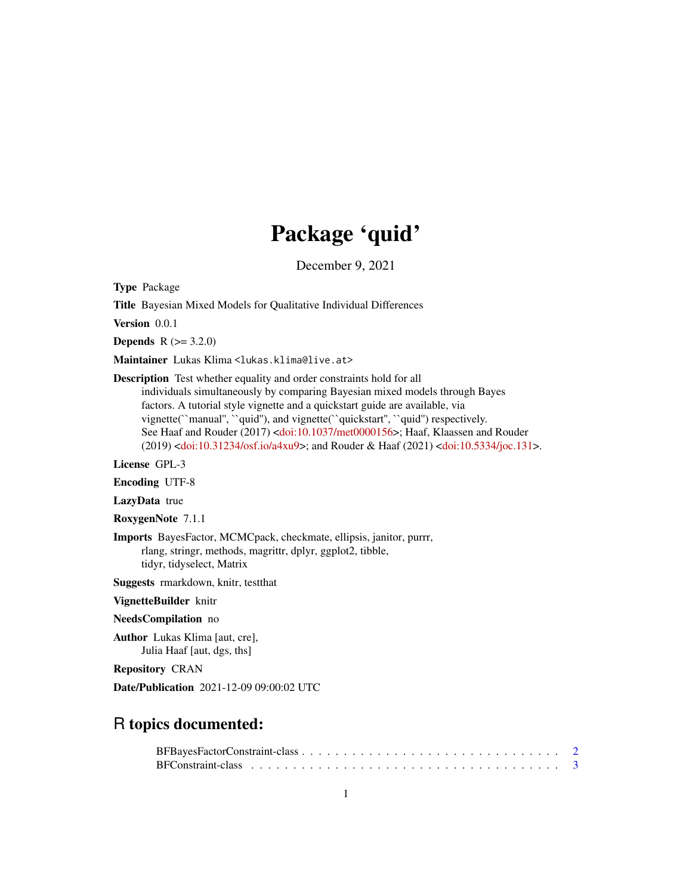## Package 'quid'

December 9, 2021

<span id="page-0-0"></span>Type Package

Title Bayesian Mixed Models for Qualitative Individual Differences

Version 0.0.1

**Depends**  $R (= 3.2.0)$ 

Maintainer Lukas Klima <lukas.klima@live.at>

Description Test whether equality and order constraints hold for all individuals simultaneously by comparing Bayesian mixed models through Bayes factors. A tutorial style vignette and a quickstart guide are available, via vignette(``manual'', ``quid''), and vignette(``quickstart'', ``quid'') respectively. See Haaf and Rouder (2017) [<doi:10.1037/met0000156>](https://doi.org/10.1037/met0000156); Haaf, Klaassen and Rouder (2019) [<doi:10.31234/osf.io/a4xu9>](https://doi.org/10.31234/osf.io/a4xu9); and Rouder & Haaf (2021) [<doi:10.5334/joc.131>](https://doi.org/10.5334/joc.131).

License GPL-3

Encoding UTF-8

LazyData true

RoxygenNote 7.1.1

Imports BayesFactor, MCMCpack, checkmate, ellipsis, janitor, purrr, rlang, stringr, methods, magrittr, dplyr, ggplot2, tibble, tidyr, tidyselect, Matrix

Suggests rmarkdown, knitr, testthat

VignetteBuilder knitr

#### NeedsCompilation no

Author Lukas Klima [aut, cre], Julia Haaf [aut, dgs, ths]

Repository CRAN

Date/Publication 2021-12-09 09:00:02 UTC

### R topics documented: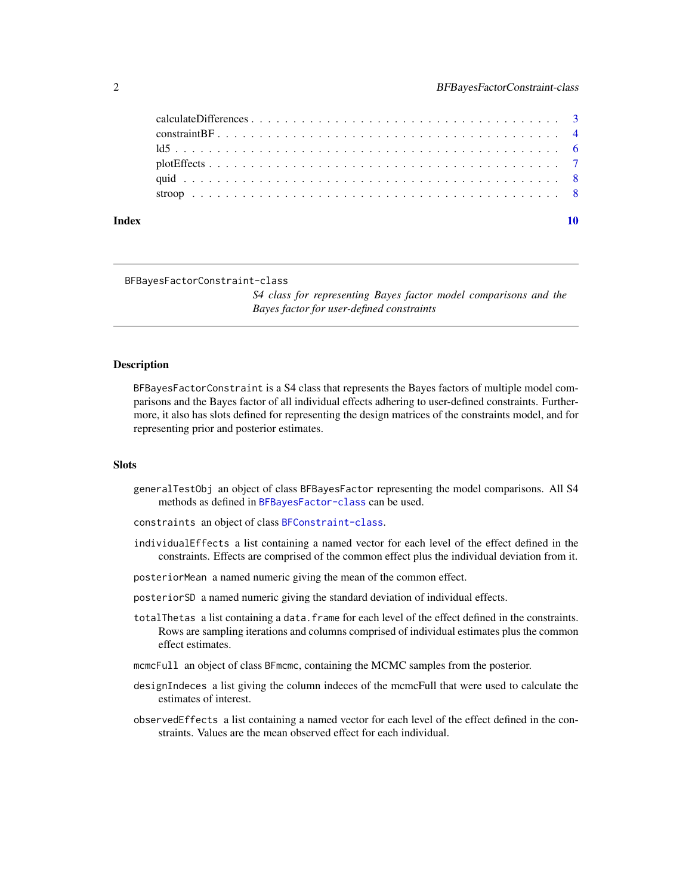<span id="page-1-0"></span>

| Index |  |
|-------|--|

#### <span id="page-1-1"></span>BFBayesFactorConstraint-class

*S4 class for representing Bayes factor model comparisons and the Bayes factor for user-defined constraints*

#### Description

BFBayesFactorConstraint is a S4 class that represents the Bayes factors of multiple model comparisons and the Bayes factor of all individual effects adhering to user-defined constraints. Furthermore, it also has slots defined for representing the design matrices of the constraints model, and for representing prior and posterior estimates.

#### **Slots**

- generalTestObj an object of class BFBayesFactor representing the model comparisons. All S4 methods as defined in [BFBayesFactor-class](#page-0-0) can be used.
- constraints an object of class [BFConstraint-class](#page-2-1).
- individualEffects a list containing a named vector for each level of the effect defined in the constraints. Effects are comprised of the common effect plus the individual deviation from it.
- posteriorMean a named numeric giving the mean of the common effect.
- posteriorSD a named numeric giving the standard deviation of individual effects.
- totalThetas a list containing a data.frame for each level of the effect defined in the constraints. Rows are sampling iterations and columns comprised of individual estimates plus the common effect estimates.
- mcmcFull an object of class BFmcmc, containing the MCMC samples from the posterior.
- designIndeces a list giving the column indeces of the mcmcFull that were used to calculate the estimates of interest.
- observedEffects a list containing a named vector for each level of the effect defined in the constraints. Values are the mean observed effect for each individual.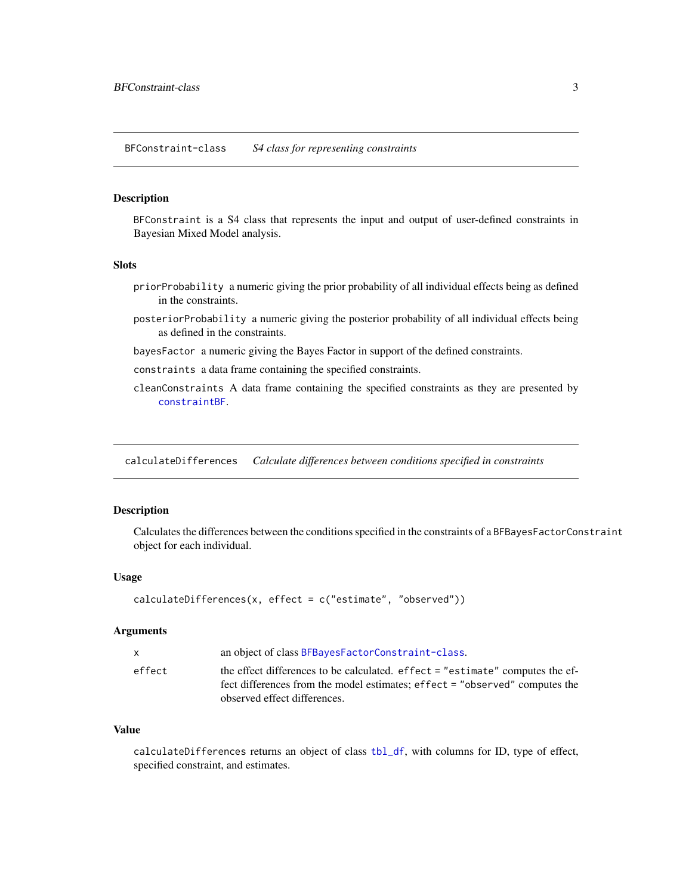<span id="page-2-1"></span><span id="page-2-0"></span>BFConstraint-class *S4 class for representing constraints*

#### Description

BFConstraint is a S4 class that represents the input and output of user-defined constraints in Bayesian Mixed Model analysis.

#### **Slots**

- priorProbability a numeric giving the prior probability of all individual effects being as defined in the constraints.
- posteriorProbability a numeric giving the posterior probability of all individual effects being as defined in the constraints.

bayesFactor a numeric giving the Bayes Factor in support of the defined constraints.

constraints a data frame containing the specified constraints.

cleanConstraints A data frame containing the specified constraints as they are presented by [constraintBF](#page-3-1).

calculateDifferences *Calculate differences between conditions specified in constraints*

#### Description

Calculates the differences between the conditions specified in the constraints of a BFBayesFactorConstraint object for each individual.

#### Usage

```
calculateDifferences(x, effect = c("estimate", "observed"))
```
#### Arguments

| x      | an object of class BFBayesFactorConstraint-class.                                                                                                                                            |
|--------|----------------------------------------------------------------------------------------------------------------------------------------------------------------------------------------------|
| effect | the effect differences to be calculated. effect = "estimate" computes the ef-<br>fect differences from the model estimates; effect = "observed" computes the<br>observed effect differences. |

#### Value

calculateDifferences returns an object of class [tbl\\_df](#page-0-0), with columns for ID, type of effect, specified constraint, and estimates.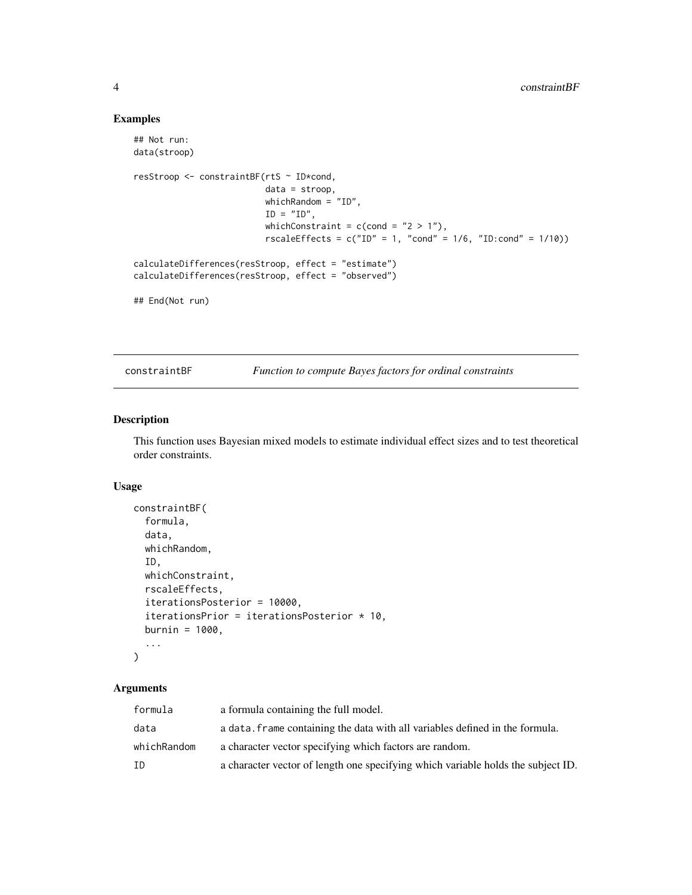#### Examples

```
## Not run:
data(stroop)
resStroop <- constraintBF(rtS ~ ID*cond,
                          data = stroop,
                          whichRandom = "ID",
                          ID = "ID",whichConstraint = c(cond = "2 > 1"),
                          rscaleEffects = c("ID" = 1, "cond" = 1/6, "ID:cond" = 1/10)calculateDifferences(resStroop, effect = "estimate")
calculateDifferences(resStroop, effect = "observed")
## End(Not run)
```
<span id="page-3-1"></span>constraintBF *Function to compute Bayes factors for ordinal constraints*

#### Description

This function uses Bayesian mixed models to estimate individual effect sizes and to test theoretical order constraints.

#### Usage

```
constraintBF(
  formula,
  data,
  whichRandom,
  ID,
 whichConstraint,
  rscaleEffects,
  iterationsPosterior = 10000,
  iterationsPrior = iterationsPosterior * 10,
 burnin = 1000,
  ...
)
```
#### Arguments

| formula     | a formula containing the full model.                                             |
|-------------|----------------------------------------------------------------------------------|
| data        | a data. frame containing the data with all variables defined in the formula.     |
| whichRandom | a character vector specifying which factors are random.                          |
| ΙD          | a character vector of length one specifying which variable holds the subject ID. |

<span id="page-3-0"></span>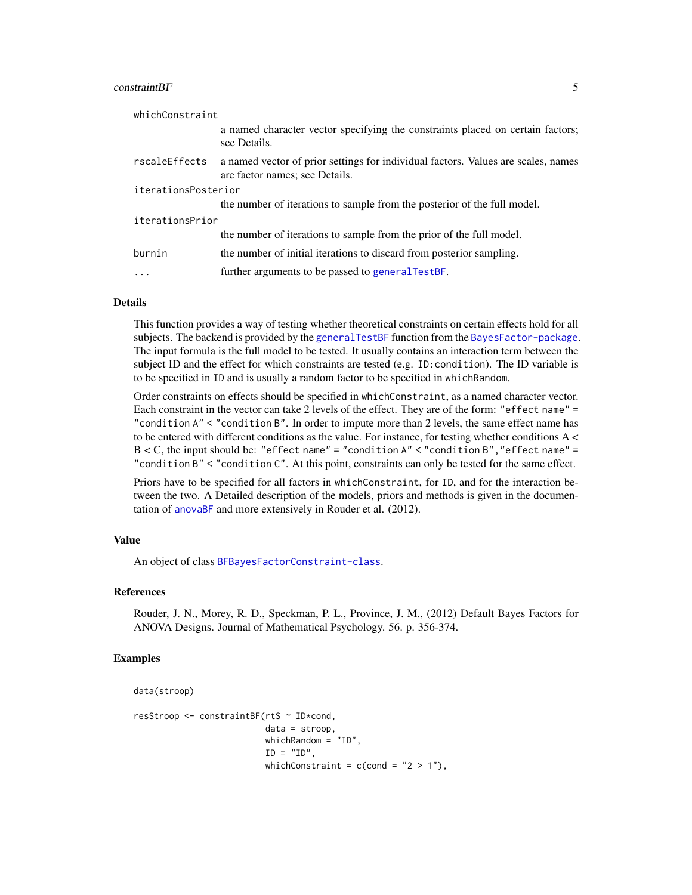#### <span id="page-4-0"></span> $constantBF$  5

| whichConstraint     |                                                                                                                     |  |
|---------------------|---------------------------------------------------------------------------------------------------------------------|--|
|                     | a named character vector specifying the constraints placed on certain factors;<br>see Details.                      |  |
| rscaleEffects       | a named vector of prior settings for individual factors. Values are scales, names<br>are factor names; see Details. |  |
| iterationsPosterior |                                                                                                                     |  |
|                     | the number of iterations to sample from the posterior of the full model.                                            |  |
| iterationsPrior     |                                                                                                                     |  |
|                     | the number of iterations to sample from the prior of the full model.                                                |  |
| burnin              | the number of initial iterations to discard from posterior sampling.                                                |  |
| $\cdot$             | further arguments to be passed to general TestBF.                                                                   |  |

#### Details

This function provides a way of testing whether theoretical constraints on certain effects hold for all subjects. The backend is provided by the [generalTestBF](#page-0-0) function from the [BayesFactor-package](#page-0-0). The input formula is the full model to be tested. It usually contains an interaction term between the subject ID and the effect for which constraints are tested (e.g. ID:condition). The ID variable is to be specified in ID and is usually a random factor to be specified in whichRandom.

Order constraints on effects should be specified in whichConstraint, as a named character vector. Each constraint in the vector can take 2 levels of the effect. They are of the form: "effect name" = "condition A" < "condition B". In order to impute more than 2 levels, the same effect name has to be entered with different conditions as the value. For instance, for testing whether conditions A <  $B < C$ , the input should be: "effect name" = "condition A"  $<$  "condition B", "effect name" = "condition B" < "condition C". At this point, constraints can only be tested for the same effect.

Priors have to be specified for all factors in whichConstraint, for ID, and for the interaction between the two. A Detailed description of the models, priors and methods is given in the documentation of [anovaBF](#page-0-0) and more extensively in Rouder et al. (2012).

#### Value

An object of class [BFBayesFactorConstraint-class](#page-1-1).

#### References

Rouder, J. N., Morey, R. D., Speckman, P. L., Province, J. M., (2012) Default Bayes Factors for ANOVA Designs. Journal of Mathematical Psychology. 56. p. 356-374.

#### Examples

```
data(stroop)
resStroop <- constraintBF(rtS ~ ID*cond,
                          data = stroop,
                          whichRandom = "ID",
                          ID = "ID",whichConstraint = c(cond = "2 > 1"),
```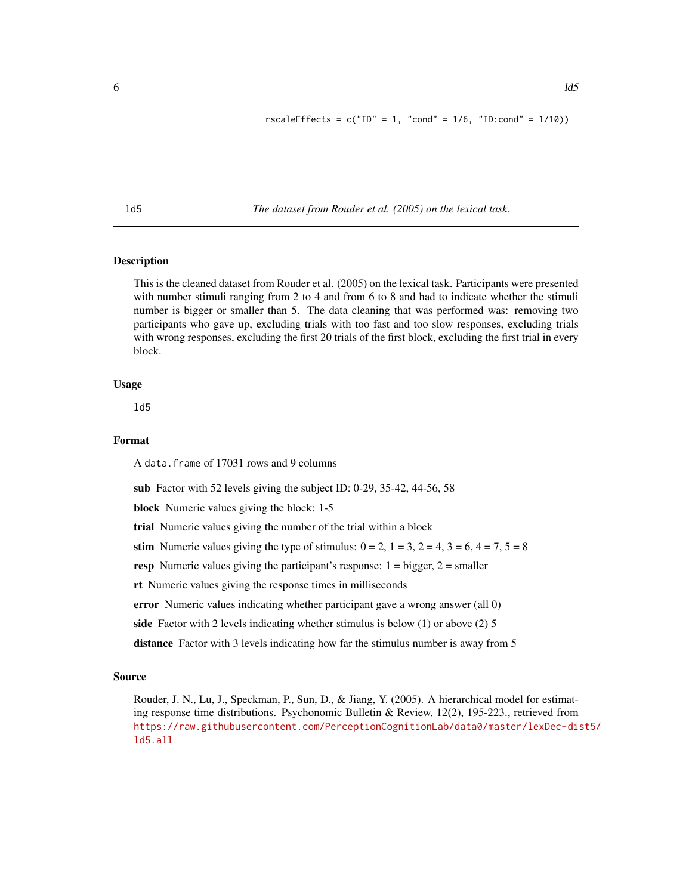```
rscaleEffects = c("ID" = 1, "cond" = 1/6, "ID:cond" = 1/10)
```
<span id="page-5-0"></span>ld5 *The dataset from Rouder et al. (2005) on the lexical task.*

#### Description

This is the cleaned dataset from Rouder et al. (2005) on the lexical task. Participants were presented with number stimuli ranging from 2 to 4 and from 6 to 8 and had to indicate whether the stimuli number is bigger or smaller than 5. The data cleaning that was performed was: removing two participants who gave up, excluding trials with too fast and too slow responses, excluding trials with wrong responses, excluding the first 20 trials of the first block, excluding the first trial in every block.

#### Usage

ld5

#### Format

A data.frame of 17031 rows and 9 columns

sub Factor with 52 levels giving the subject ID: 0-29, 35-42, 44-56, 58

block Numeric values giving the block: 1-5

trial Numeric values giving the number of the trial within a block

stim Numeric values giving the type of stimulus:  $0 = 2$ ,  $1 = 3$ ,  $2 = 4$ ,  $3 = 6$ ,  $4 = 7$ ,  $5 = 8$ 

**resp** Numeric values giving the participant's response:  $1 = \text{bigger}, 2 = \text{smaller}$ 

rt Numeric values giving the response times in milliseconds

error Numeric values indicating whether participant gave a wrong answer (all 0)

side Factor with 2 levels indicating whether stimulus is below (1) or above (2) 5

distance Factor with 3 levels indicating how far the stimulus number is away from 5

#### Source

Rouder, J. N., Lu, J., Speckman, P., Sun, D., & Jiang, Y. (2005). A hierarchical model for estimating response time distributions. Psychonomic Bulletin & Review, 12(2), 195-223., retrieved from [https://raw.githubusercontent.com/PerceptionCognitionLab/data0/master/lexDec-dis](https://raw.githubusercontent.com/PerceptionCognitionLab/data0/master/lexDec-dist5/ld5.all)t5/ [ld5.all](https://raw.githubusercontent.com/PerceptionCognitionLab/data0/master/lexDec-dist5/ld5.all)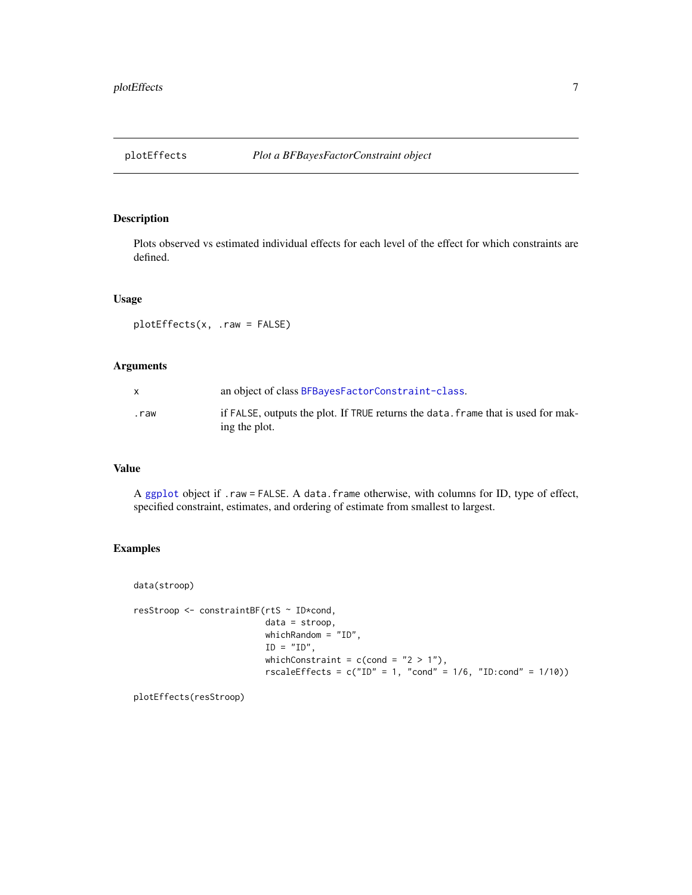<span id="page-6-0"></span>

#### Description

Plots observed vs estimated individual effects for each level of the effect for which constraints are defined.

#### Usage

plotEffects(x, .raw = FALSE)

#### Arguments

|      | an object of class BFBayesFactorConstraint-class.                                                  |
|------|----------------------------------------------------------------------------------------------------|
| .raw | if FALSE, outputs the plot. If TRUE returns the data. frame that is used for mak-<br>ing the plot. |

#### Value

A [ggplot](#page-0-0) object if .raw = FALSE. A data.frame otherwise, with columns for ID, type of effect, specified constraint, estimates, and ordering of estimate from smallest to largest.

#### Examples

```
data(stroop)
```

```
resStroop <- constraintBF(rtS ~ ID*cond,
                         data = stroop,
                         whichRandom = "ID",ID = "ID",whichConstraint = c(cond = "2 > 1"),
                         rscaleEffects = c("ID" = 1, "cond" = 1/6, "ID:cond" = 1/10)
```
plotEffects(resStroop)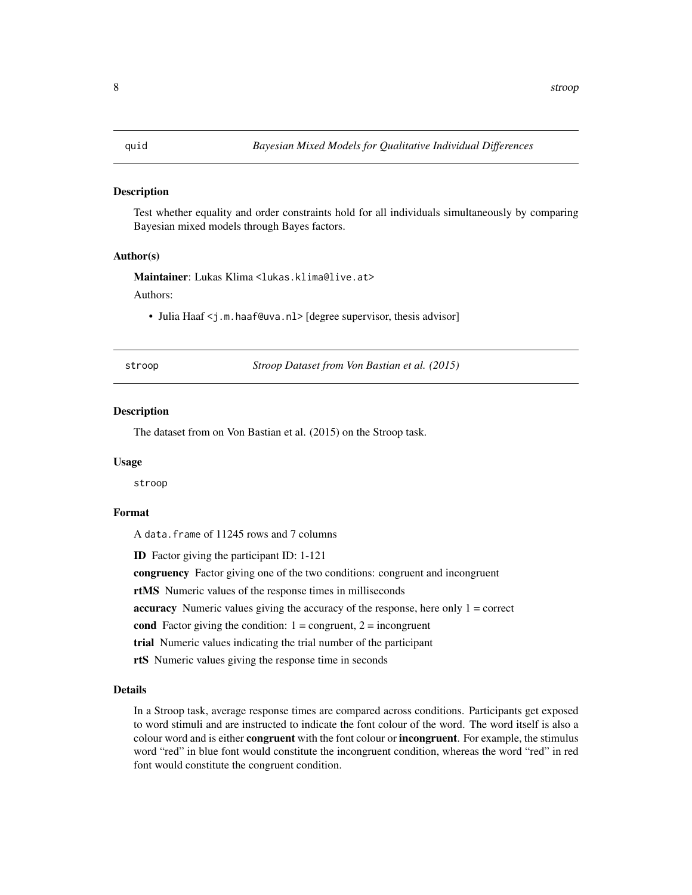#### <span id="page-7-0"></span>Description

Test whether equality and order constraints hold for all individuals simultaneously by comparing Bayesian mixed models through Bayes factors.

#### Author(s)

Maintainer: Lukas Klima <lukas.klima@live.at>

#### Authors:

• Julia Haaf <j.m.haaf@uva.nl> [degree supervisor, thesis advisor]

stroop *Stroop Dataset from Von Bastian et al. (2015)*

#### Description

The dataset from on Von Bastian et al. (2015) on the Stroop task.

#### Usage

stroop

#### Format

A data.frame of 11245 rows and 7 columns

ID Factor giving the participant ID: 1-121

congruency Factor giving one of the two conditions: congruent and incongruent

rtMS Numeric values of the response times in milliseconds

**accuracy** Numeric values giving the accuracy of the response, here only  $1 =$  correct

cond Factor giving the condition:  $1 =$  congruent,  $2 =$  incongruent

trial Numeric values indicating the trial number of the participant

rtS Numeric values giving the response time in seconds

#### Details

In a Stroop task, average response times are compared across conditions. Participants get exposed to word stimuli and are instructed to indicate the font colour of the word. The word itself is also a colour word and is either **congruent** with the font colour or **incongruent**. For example, the stimulus word "red" in blue font would constitute the incongruent condition, whereas the word "red" in red font would constitute the congruent condition.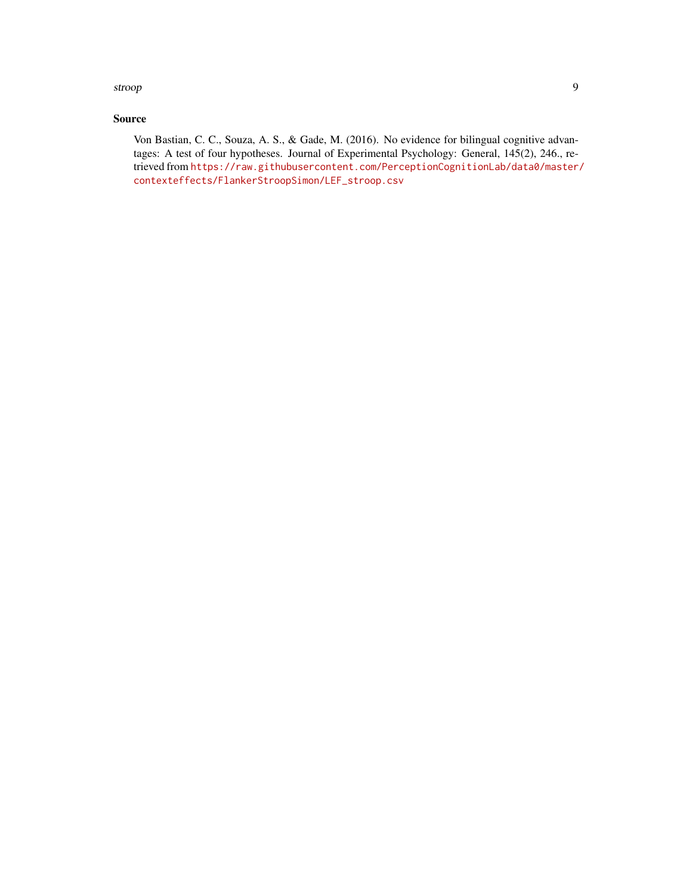stroop 9

#### Source

Von Bastian, C. C., Souza, A. S., & Gade, M. (2016). No evidence for bilingual cognitive advantages: A test of four hypotheses. Journal of Experimental Psychology: General, 145(2), 246., retrieved from [https://raw.githubusercontent.com/PerceptionCognitionLab/data0/master/](https://raw.githubusercontent.com/PerceptionCognitionLab/data0/master/contexteffects/FlankerStroopSimon/LEF_stroop.csv) [contexteffects/FlankerStroopSimon/LEF\\_stroop.csv](https://raw.githubusercontent.com/PerceptionCognitionLab/data0/master/contexteffects/FlankerStroopSimon/LEF_stroop.csv)